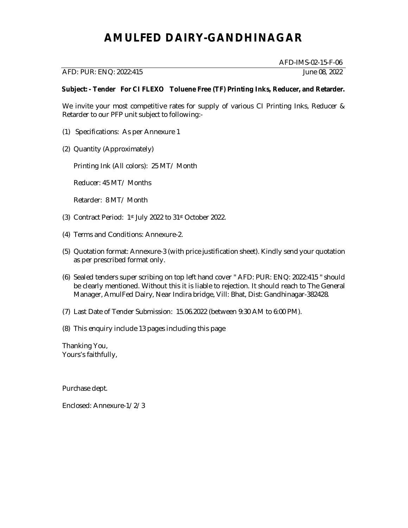# **AMULFED DAIRY-GANDHINAGAR**

## AFD: PUR: ENQ: 2022:415 June 08, 2022

AFD-IMS-02-15-F-06

### **Subject: - Tender For CI FLEXO Toluene Free (TF) Printing Inks, Reducer, and Retarder.**

We invite your most competitive rates for supply of various CI Printing Inks, Reducer & Retarder to our PFP unit subject to following:-

- (1) Specifications: As per Annexure 1
- (2) Quantity (Approximately)

Printing Ink (All colors): 25 MT/ Month

Reducer: 45 MT/ Months

Retarder: 8 MT/ Month

- (3) Contract Period: 1st July 2022 to 31st October 2022.
- (4) Terms and Conditions: Annexure-2.
- (5) Quotation format: Annexure-3 (with price justification sheet). Kindly send your quotation as per prescribed format only.
- (6) Sealed tenders super scribing on top left hand cover " AFD: PUR: ENQ: 2022:415 " should be clearly mentioned. Without this it is liable to rejection. It should reach to The General Manager, AmulFed Dairy, Near Indira bridge, Vill: Bhat, Dist: Gandhinagar-382428.
- (7) Last Date of Tender Submission: 15.06.2022 (between 9:30 AM to 6:00 PM).
- (8) This enquiry include 13 pages including this page

Thanking You, Yours's faithfully,

Purchase dept.

Enclosed: Annexure-1/2/3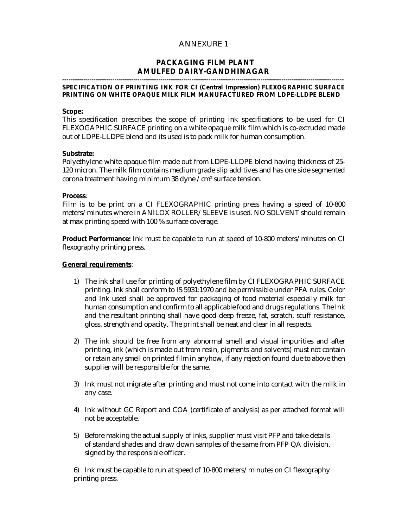## ANNEXURE 1

## **PACKAGING FILM PLANT AMULFED DAIRY-GANDHINAGAR**

#### **--------------------------------------------------------------------------------------------------------------------------------------- SPECIFICATION OF PRINTING INK FOR CI (Central Impression) FLEXOGRAPHIC SURFACE PRINTING ON WHITE OPAQUE MILK FILM MANUFACTURED FROM LDPE-LLDPE BLEND**

#### **Scope:**

This specification prescribes the scope of printing ink specifications to be used for CI FLEXOGAPHIC SURFACE printing on a white opaque milk film which is co-extruded made out of LDPE-LLDPE blend and its used is to pack milk for human consumption.

#### **Substrate:**

Polyethylene white opaque film made out from LDPE-LLDPE blend having thickness of 25- 120 micron. The milk film contains medium grade slip additives and has one side segmented corona treatment having minimum 38 dyne /cm² surface tension.

#### **Process**:

Film is to be print on a CI FLEXOGRAPHIC printing press having a speed of 10-800 meters/minutes where in ANILOX ROLLER/SLEEVE is used. NO SOLVENT should remain at max printing speed with 100 % surface coverage.

**Product Performance:** Ink must be capable to run at speed of 10-800 meters/minutes on CI flexography printing press.

#### **General requirements**:

- 1) The ink shall use for printing of polyethylene film by CI FLEXOGRAPHIC SURFACE printing. Ink shall conform to IS 5931:1970 and be permissible under PFA rules. Color and Ink used shall be approved for packaging of food material especially milk for human consumption and confirm to all applicable food and drugs regulations. The Ink and the resultant printing shall have good deep freeze, fat, scratch, scuff resistance, gloss, strength and opacity. The print shall be neat and clear in all respects.
- 2) The ink should be free from any abnormal smell and visual impurities and after printing, ink (which is made out from resin, pigments and solvents) must not contain or retain any smell on printed film in anyhow, if any rejection found due to above then supplier will be responsible for the same.
- 3) Ink must not migrate after printing and must not come into contact with the milk in any case.
- 4) Ink without GC Report and COA (certificate of analysis) as per attached format will not be acceptable.
- 5) Before making the actual supply of inks, supplier must visit PFP and take details of standard shades and draw down samples of the same from PFP QA division, signed by the responsible officer.

6) Ink must be capable to run at speed of 10-800 meters/minutes on CI flexography printing press.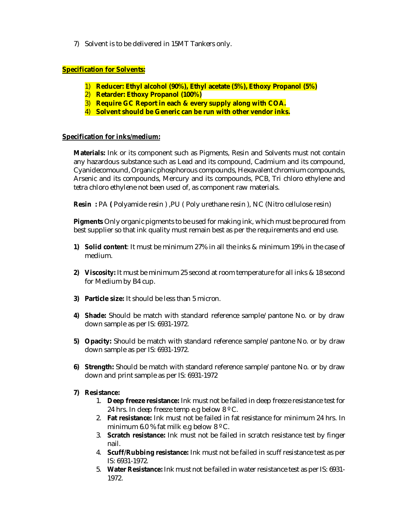7) Solvent is to be delivered in 15MT Tankers only.

## **Specification for Solvents:**

- 1) **Reducer: Ethyl alcohol (90%), Ethyl acetate (5%), Ethoxy Propanol (5%)**
- 2) **Retarder: Ethoxy Propanol (100%)**
- 3) **Require GC Report in each & every supply along with COA.**
- 4) **Solvent should be Generic can be run with other vendor inks.**

## **Specification for inks/medium:**

**Materials:** Ink or its component such as Pigments, Resin and Solvents must not contain any hazardous substance such as Lead and its compound, Cadmium and its compound, Cyanidecomound, Organic phosphorous compounds, Hexavalent chromium compounds, Arsenic and its compounds, Mercury and its compounds, PCB, Tri chloro ethylene and tetra chloro ethylene not been used of, as component raw materials.

**Resin :** PA **(** Polyamide resin ) ,PU ( Poly urethane resin ), NC (Nitro cellulose resin)

**Pigments** Only organic pigments to be used for making ink, which must be procured from best supplier so that ink quality must remain best as per the requirements and end use.

- **1) Solid content**: It must be minimum 27% in all the inks & minimum 19% in the case of medium.
- **2) Viscosity:** It must be minimum 25 second at room temperature for all inks & 18 second for Medium by B4 cup.
- **3) Particle size:** It should be less than 5 micron.
- **4) Shade:** Should be match with standard reference sample/pantone No. or by draw down sample as per IS: 6931-1972.
- **5) Opacity:** Should be match with standard reference sample/pantone No. or by draw down sample as per IS: 6931-1972.
- **6) Strength:** Should be match with standard reference sample/pantone No. or by draw down and print sample as per IS: 6931-1972
- **7) Resistance:** 
	- 1. **Deep freeze resistance:** Ink must not be failed in deep freeze resistance test for 24 hrs. In deep freeze temp e.g below 8 º C.
	- 2. **Fat resistance:** Ink must not be failed in fat resistance for minimum 24 hrs. In minimum 6.0 % fat milk e.g below  $8^{\circ}$  C.
	- 3. **Scratch resistance:** Ink must not be failed in scratch resistance test by finger nail.
	- 4. **Scuff/Rubbing resistance:** Ink must not be failed in scuff resistance test as per IS: 6931-1972.
	- 5. **Water Resistance:** Ink must not be failed in water resistance test as per IS: 6931- 1972.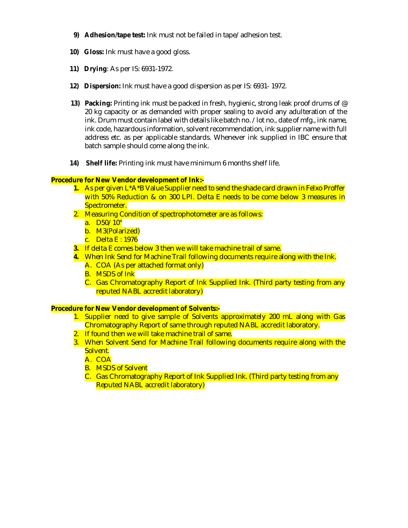- **9) Adhesion/tape test:** Ink must not be failed in tape/adhesion test.
- **10) Gloss:** Ink must have a good gloss.
- **11) Drying**: As per IS: 6931-1972.
- **12) Dispersion:** Ink must have a good dispersion as per IS: 6931- 1972.
- **13) Packing:** Printing ink must be packed in fresh, hygienic, strong leak proof drums of @ 20 kg capacity or as demanded with proper sealing to avoid any adulteration of the ink. Drum must contain label with details like batch no. /lot no., date of mfg., ink name, ink code, hazardous information, solvent recommendation, ink supplier name with full address etc. as per applicable standards. Whenever ink supplied in IBC ensure that batch sample should come along the ink.
- **14) Shelf life:** Printing ink must have minimum 6 months shelf life.

## **Procedure for New Vendor development of Ink:-**

- **1.** As per given L\*A\*B Value Supplier need to send the shade card drawn in Felxo Proffer with 50% Reduction & on 300 LPI. Delta E needs to be come below 3 measures in Spectrometer.
- 2. Measuring Condition of spectrophotometer are as follows:
	- a. D50/10°
	- b. M3(Polarized)
	- c. Delta E : 1976
- **3.** If delta E comes below 3 then we will take machine trail of same.
- **4.** When Ink Send for Machine Trail following documents require along with the Ink.
	- A. COA (As per attached format only)
	- B. MSDS of Ink
	- C. Gas Chromatography Report of Ink Supplied Ink. (Third party testing from any reputed NABL accredit laboratory)

## **Procedure for New Vendor development of Solvents:-**

- 1. Supplier need to give sample of Solvents approximately 200 mL along with Gas Chromatography Report of same through reputed NABL accredit laboratory.
- 2. If found then we will take machine trail of same.
- 3. When Solvent Send for Machine Trail following documents require along with the Solvent.

A. COA

- B. MSDS of Solvent
- C. Gas Chromatography Report of Ink Supplied Ink. (Third party testing from any Reputed NABL accredit laboratory)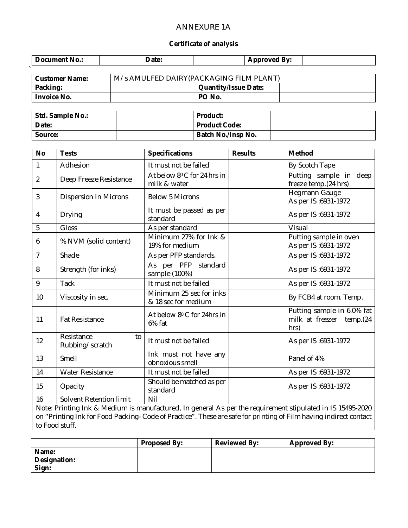## ANNEXURE 1A

## **Certificate of analysis**

| Document No.:         | Date: | <b>Approved By:</b>                      |  |  |
|-----------------------|-------|------------------------------------------|--|--|
|                       |       |                                          |  |  |
| <b>Customer Name:</b> |       | M/s AMULFED DAIRY (PACKAGING FILM PLANT) |  |  |
| Packing:              |       | <b>Quantity/Issue Date:</b>              |  |  |

**Invoice No. PO No.**

 $\ddot{\phantom{1}}$ 

| Std. Sample No.: | <b>Product:</b>           |  |
|------------------|---------------------------|--|
| Date:            | Product Code:             |  |
| Source:          | <b>Batch No./Insp No.</b> |  |

| <b>No</b> | <b>Tests</b>                        | <b>Specifications</b>                          | <b>Results</b> | <b>Method</b>                                                      |
|-----------|-------------------------------------|------------------------------------------------|----------------|--------------------------------------------------------------------|
| 1         | Adhesion                            | It must not be failed                          |                | By Scotch Tape                                                     |
| 2         | Deep Freeze Resistance              | At below 8° C for 24 hrs in<br>milk & water    |                | Putting sample in deep<br>freeze temp. (24 hrs)                    |
| 3         | <b>Dispersion In Microns</b>        | <b>Below 5 Microns</b>                         |                | Hegmann Gauge<br>As per IS:6931-1972                               |
| 4         | Drying                              | It must be passed as per<br>standard           |                | As per IS:6931-1972                                                |
| 5         | Gloss                               | As per standard                                |                | Visual                                                             |
| 6         | % NVM (solid content)               | Minimum 27% for Ink &<br>19% for medium        |                | Putting sample in oven<br>As per IS:6931-1972                      |
| 7         | Shade                               | As per PFP standards.                          |                | As per IS:6931-1972                                                |
| 8         | Strength (for inks)                 | As per PFP standard<br>sample (100%)           |                | As per IS:6931-1972                                                |
| 9         | <b>Tack</b>                         | It must not be failed                          |                | As per IS:6931-1972                                                |
| 10        | Viscosity in sec.                   | Minimum 25 sec for inks<br>& 18 sec for medium |                | By FCB4 at room. Temp.                                             |
| 11        | <b>Fat Resistance</b>               | At below 8° C for 24hrs in<br>6% fat           |                | Putting sample in 6.0% fat<br>milk at freezer<br>temp.(24)<br>hrs) |
| 12        | Resistance<br>to<br>Rubbing/scratch | It must not be failed                          |                | As per IS:6931-1972                                                |
| 13        | Smell                               | Ink must not have any<br>obnoxious smell       |                | Panel of 4%                                                        |
| 14        | <b>Water Resistance</b>             | It must not be failed                          |                | As per IS:6931-1972                                                |
| 15        | Opacity                             | Should be matched as per<br>standard           |                | As per IS:6931-1972                                                |
| 16        | Solvent Retention limit             | Nil                                            |                |                                                                    |

Note: Printing Ink & Medium is manufactured, In general As per the requirement stipulated in IS 15495-2020 on "Printing Ink for Food Packing- Code of Practice". These are safe for printing of Film having indirect contact to Food stuff.

|              | <b>Proposed By:</b> | <b>Reviewed By:</b> | <b>Approved By:</b> |
|--------------|---------------------|---------------------|---------------------|
| Name:        |                     |                     |                     |
| Designation: |                     |                     |                     |
| Sign:        |                     |                     |                     |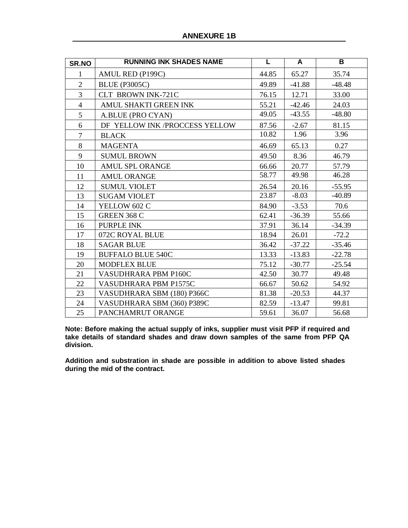| SR.NO          | <b>RUNNING INK SHADES NAME</b> | L     | A        | B        |
|----------------|--------------------------------|-------|----------|----------|
| 1              | AMUL RED (P199C)               | 44.85 | 65.27    | 35.74    |
| $\overline{2}$ | <b>BLUE (P3005C)</b>           | 49.89 | $-41.88$ | $-48.48$ |
| 3              | CLT BROWN INK-721C             | 76.15 | 12.71    | 33.00    |
| $\overline{4}$ | AMUL SHAKTI GREEN INK          | 55.21 | $-42.46$ | 24.03    |
| 5              | A.BLUE (PRO CYAN)              | 49.05 | $-43.55$ | $-48.80$ |
| 6              | DF YELLOW INK /PROCCESS YELLOW | 87.56 | $-2.67$  | 81.15    |
| $\overline{7}$ | <b>BLACK</b>                   | 10.82 | 1.96     | 3.96     |
| 8              | <b>MAGENTA</b>                 | 46.69 | 65.13    | 0.27     |
| 9              | <b>SUMUL BROWN</b>             | 49.50 | 8.36     | 46.79    |
| 10             | AMUL SPL ORANGE                | 66.66 | 20.77    | 57.79    |
| 11             | <b>AMUL ORANGE</b>             | 58.77 | 49.98    | 46.28    |
| 12             | <b>SUMUL VIOLET</b>            | 26.54 | 20.16    | $-55.95$ |
| 13             | <b>SUGAM VIOLET</b>            | 23.87 | $-8.03$  | $-40.89$ |
| 14             | YELLOW 602 C                   | 84.90 | $-3.53$  | 70.6     |
| 15             | <b>GREEN 368 C</b>             | 62.41 | $-36.39$ | 55.66    |
| 16             | PURPLE INK                     | 37.91 | 36.14    | $-34.39$ |
| 17             | 072C ROYAL BLUE                | 18.94 | 26.01    | $-72.2$  |
| 18             | <b>SAGAR BLUE</b>              | 36.42 | $-37.22$ | $-35.46$ |
| 19             | <b>BUFFALO BLUE 540C</b>       | 13.33 | $-13.83$ | $-22.78$ |
| 20             | <b>MODFLEX BLUE</b>            | 75.12 | $-30.77$ | $-25.54$ |
| 21             | VASUDHRARA PBM P160C           | 42.50 | 30.77    | 49.48    |
| 22             | VASUDHRARA PBM P1575C          | 66.67 | 50.62    | 54.92    |
| 23             | VASUDHRARA SBM (180) P366C     | 81.38 | $-20.53$ | 44.37    |
| 24             | VASUDHRARA SBM (360) P389C     | 82.59 | $-13.47$ | 99.81    |
| 25             | PANCHAMRUT ORANGE              | 59.61 | 36.07    | 56.68    |

**Note: Before making the actual supply of inks, supplier must visit PFP if required and take details of standard shades and draw down samples of the same from PFP QA division.** 

**Addition and substration in shade are possible in addition to above listed shades during the mid of the contract.**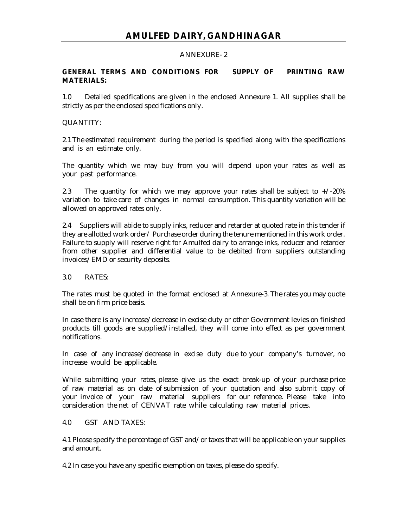## ANNEXURE- 2

## **GENERAL TERMS AND CONDITIONS FOR SUPPLY OF PRINTING RAW MATERIALS:**

1.0 Detailed specifications are given in the enclosed Annexure 1. All supplies shall be strictly as per the enclosed specifications only.

## QUANTITY:

2.1 The estimated requirement during the period is specified along with the specifications and is an estimate only.

The quantity which we may buy from you will depend upon your rates as well as your past performance.

2.3 The quantity for which we may approve your rates shall be subject to  $+/-20\%$ variation to take care of changes in normal consumption. This quantity variation will be allowed on approved rates only.

2.4 Suppliers will abide to supply inks, reducer and retarder at quoted rate in this tender if they are allotted work order/ Purchase order during the tenure mentioned in this work order. Failure to supply will reserve right for Amulfed dairy to arrange inks, reducer and retarder from other supplier and differential value to be debited from suppliers outstanding invoices/EMD or security deposits.

## 3.0 RATES:

The rates must be quoted in the format enclosed at Annexure-3. The rates you may quote shall be on firm price basis.

In case there is any increase/decrease in excise duty or other Government levies on finished products till goods are supplied/installed, they will come into effect as per government notifications.

In case of any increase/decrease in excise duty due to your company's turnover, no increase would be applicable.

While submitting your rates, please give us the exact break-up of your purchase price of raw material as on date of submission of your quotation and also submit copy of your invoice of your raw material suppliers for our reference. Please take into consideration the net of CENVAT rate while calculating raw material prices.

### 4.0 GST AND TAXES:

4.1 Please specify the percentage of GST and/or taxes that will be applicable on your supplies and amount.

4.2 In case you have any specific exemption on taxes, please do specify.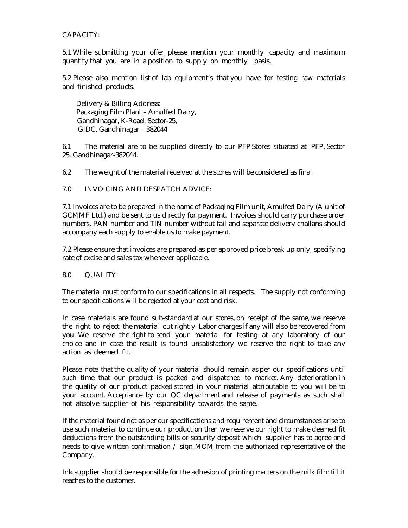## CAPACITY:

5.1 While submitting your offer, please mention your monthly capacity and maximum quantity that you are in a position to supply on monthly basis.

5.2 Please also mention list of lab equipment's that you have for testing raw materials and finished products.

 Delivery & Billing Address: Packaging Film Plant – Amulfed Dairy, Gandhinagar, K-Road, Sector-25, GIDC, Gandhinagar – 382044

6.1 The material are to be supplied directly to our PFP Stores situated at PFP, Sector 25, Gandhinagar-382044.

6.2 The weight of the material received at the stores will be considered as final.

## 7.0 INVOICING AND DESPATCH ADVICE:

7.1 Invoices are to be prepared in the name of Packaging Film unit, Amulfed Dairy (A unit of GCMMF Ltd.) and be sent to us directly for payment. Invoices should carry purchase order numbers, PAN number and TIN number without fail and separate delivery challans should accompany each supply to enable us to make payment.

7.2 Please ensure that invoices are prepared as per approved price break up only, specifying rate of excise and sales tax whenever applicable.

## 8.0 QUALITY:

The material must conform to our specifications in all respects. The supply not conforming to our specifications will be rejected at your cost and risk.

In case materials are found sub-standard at our stores, on receipt of the same, we reserve the right to reject the material out rightly. Labor charges if any will also be recovered from you. We reserve the right to send your material for testing at any laboratory of our choice and in case the result is found unsatisfactory we reserve the right to take any action as deemed fit.

Please note that the quality of your material should remain as per our specifications until such time that our product is packed and dispatched to market. Any deterioration in the quality of our product packed stored in your material attributable to you will be to your account. Acceptance by our QC department and release of payments as such shall not absolve supplier of his responsibility towards the same.

If the material found not as per our specifications and requirement and circumstances arise to use such material to continue our production then we reserve our right to make deemed fit deductions from the outstanding bills or security deposit which supplier has to agree and needs to give written confirmation  $\ell$  sign MOM from the authorized representative of the Company.

Ink supplier should be responsible for the adhesion of printing matters on the milk film till it reaches to the customer.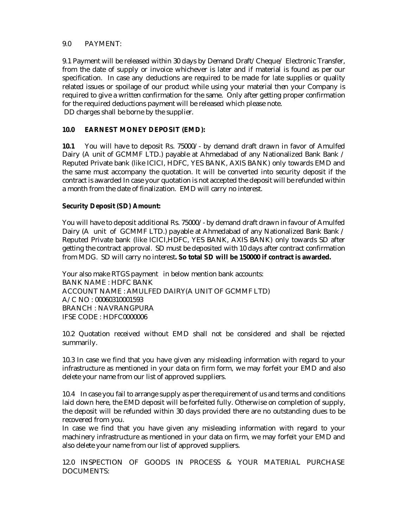## 9.0 PAYMENT:

9.1 Payment will be released within 30 days by Demand Draft/Cheque/ Electronic Transfer, from the date of supply or invoice whichever is later and if material is found as per our specification. In case any deductions are required to be made for late supplies or quality related issues or spoilage of our product while using your material then your Company is required to give a written confirmation for the same. Only after getting proper confirmation for the required deductions payment will be released which please note. DD charges shall be borne by the supplier.

## **10.0 EARNEST MONEY DEPOSIT (EMD):**

**10.1** You will have to deposit Rs. 75000/- by demand draft drawn in favor of Amulfed Dairy (A unit of GCMMF LTD.) payable at Ahmedabad of any Nationalized Bank Bank / Reputed Private bank (like ICICI, HDFC, YES BANK, AXIS BANK) only towards EMD and the same must accompany the quotation. It will be converted into security deposit if the contract is awarded In case your quotation is not accepted the deposit will be refunded within a month from the date of finalization. EMD will carry no interest.

## **Security Deposit (SD) Amount:**

You will have to deposit additional Rs. 75000/- by demand draft drawn in favour of Amulfed Dairy (A unit of GCMMF LTD.) payable at Ahmedabad of any Nationalized Bank Bank / Reputed Private bank (like ICICI,HDFC, YES BANK, AXIS BANK) only towards SD after getting the contract approval. SD must be deposited with 10 days after contract confirmation from MDG.SD will carry no interest**. So total SD will be 150000 if contract is awarded.**

Your also make RTGS payment in below mention bank accounts: BANK NAME : HDFC BANK ACCOUNT NAME : AMULFED DAIRY(A UNIT OF GCMMF LTD) A/C NO : 00060310001593 BRANCH : NAVRANGPURA IFSE CODE : HDFC0000006

10.2 Quotation received without EMD shall not be considered and shall be rejected summarily.

10.3 In case we find that you have given any misleading information with regard to your infrastructure as mentioned in your data on firm form, we may forfeit your EMD and also delete your name from our list of approved suppliers.

10.4 In case you fail to arrange supply as per the requirement of us and terms and conditions laid down here, the EMD deposit will be forfeited fully. Otherwise on completion of supply, the deposit will be refunded within 30 days provided there are no outstanding dues to be recovered from you.

In case we find that you have given any misleading information with regard to your machinery infrastructure as mentioned in your data on firm, we may forfeit your EMD and also delete your name from our list of approved suppliers.

12.0 INSPECTION OF GOODS IN PROCESS & YOUR MATERIAL PURCHASE DOCUMENTS: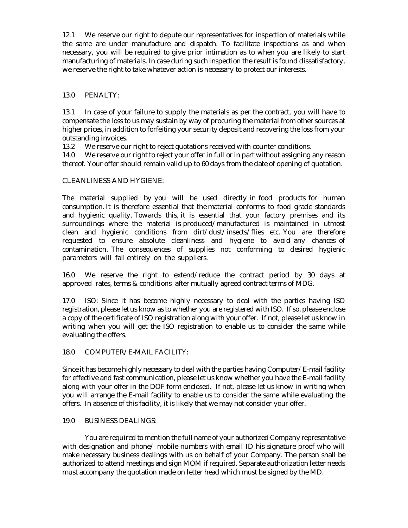12.1 We reserve our right to depute our representatives for inspection of materials while the same are under manufacture and dispatch. To facilitate inspections as and when necessary, you will be required to give prior intimation as to when you are likely to start manufacturing of materials. In case during such inspection the result is found dissatisfactory, we reserve the right to take whatever action is necessary to protect our interests.

## 13.0 PENALTY:

13.1 In case of your failure to supply the materials as per the contract, you will have to compensate the loss to us may sustain by way of procuring the material from other sources at higher prices, in addition to forfeiting your security deposit and recovering the loss from your outstanding invoices.

13.2 We reserve our right to reject quotations received with counter conditions.

14.0 We reserve our right to reject your offer in full or in part without assigning any reason thereof. Your offer should remain valid up to 60 days from the date of opening of quotation.

## CLEANLINESS AND HYGIENE:

The material supplied by you will be used directly in food products for human consumption. It is therefore essential that the material conforms to food grade standards and hygienic quality. Towards this, it is essential that your factory premises and its surroundings where the material is produced/manufactured is maintained in utmost clean and hygienic conditions from dirt/dust/insects/flies etc. You are therefore requested to ensure absolute cleanliness and hygiene to avoid any chances of contamination. The consequences of supplies not conforming to desired hygienic parameters will fall entirely on the suppliers.

16.0 We reserve the right to extend/reduce the contract period by 30 days at approved rates, terms & conditions after mutually agreed contract terms of MDG.

17.0 ISO: Since it has become highly necessary to deal with the parties having ISO registration, please let us know as to whether you are registered with ISO. If so, please enclose a copy of the certificate of ISO registration along with your offer. If not, please let us know in writing when you will get the ISO registration to enable us to consider the same while evaluating the offers.

## 18.0 COMPUTER/E-MAIL FACILITY:

Since it has become highly necessary to deal with the parties having Computer/E-mail facility for effective and fast communication, please let us know whether you have the E-mail facility along with your offer in the DOF form enclosed. If not, please let us know in writing when you will arrange the E-mail facility to enable us to consider the same while evaluating the offers. In absence of this facility, it is likely that we may not consider your offer.

## 19.0 BUSINESS DEALINGS:

You are required to mention the full name of your authorized Company representative with designation and phone/ mobile numbers with email ID his signature proof who will make necessary business dealings with us on behalf of your Company. The person shall be authorized to attend meetings and sign MOM if required. Separate authorization letter needs must accompany the quotation made on letter head which must be signed by the MD.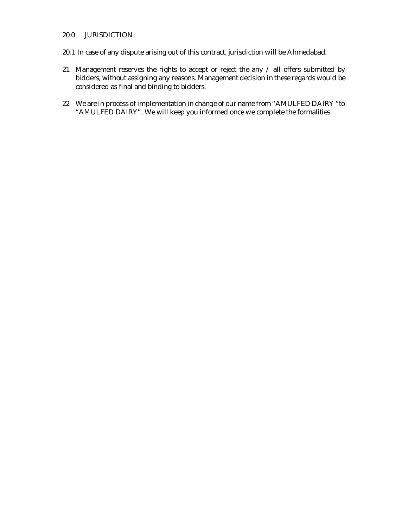## 20.0 JURISDICTION:

- 20.1 In case of any dispute arising out of this contract, jurisdiction will be Ahmedabad.
- 21 Management reserves the rights to accept or reject the any / all offers submitted by bidders, without assigning any reasons. Management decision in these regards would be considered as final and binding to bidders.
- 22 We are in process of implementation in change of our name from "AMULFED DAIRY "to "AMULFED DAIRY". We will keep you informed once we complete the formalities.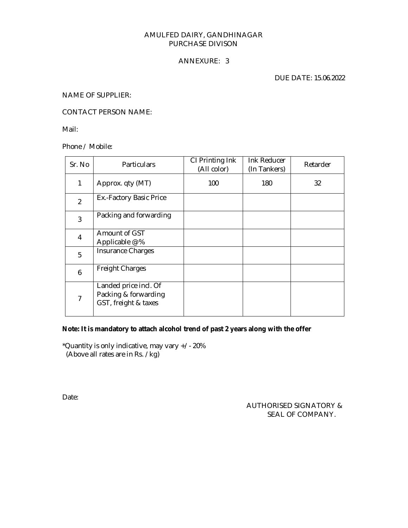## AMULFED DAIRY, GANDHINAGAR PURCHASE DIVISON

## ANNEXURE: 3

DUE DATE: 15.06.2022

NAME OF SUPPLIER:

CONTACT PERSON NAME:

Mail:

Phone / Mobile:

| Sr. No         | Particulars                                                           | CI Printing Ink<br>(All color) | Ink Reducer<br>(In Tankers) | Retarder |
|----------------|-----------------------------------------------------------------------|--------------------------------|-----------------------------|----------|
| 1              | Approx. qty (MT)                                                      | 100                            | 180                         | 32       |
| $\overline{2}$ | Ex.-Factory Basic Price                                               |                                |                             |          |
| 3              | Packing and forwarding                                                |                                |                             |          |
| 4              | Amount of GST<br>Applicable @ %                                       |                                |                             |          |
| 5              | <b>Insurance Charges</b>                                              |                                |                             |          |
| 6              | <b>Freight Charges</b>                                                |                                |                             |          |
| $\overline{7}$ | Landed price incl. Of<br>Packing & forwarding<br>GST, freight & taxes |                                |                             |          |

### **Note: It is mandatory to attach alcohol trend of past 2 years along with the offer**

\*Quantity is only indicative, may vary +/- 20% (Above all rates are in Rs. /kg)

Date:

 AUTHORISED SIGNATORY & SEAL OF COMPANY.